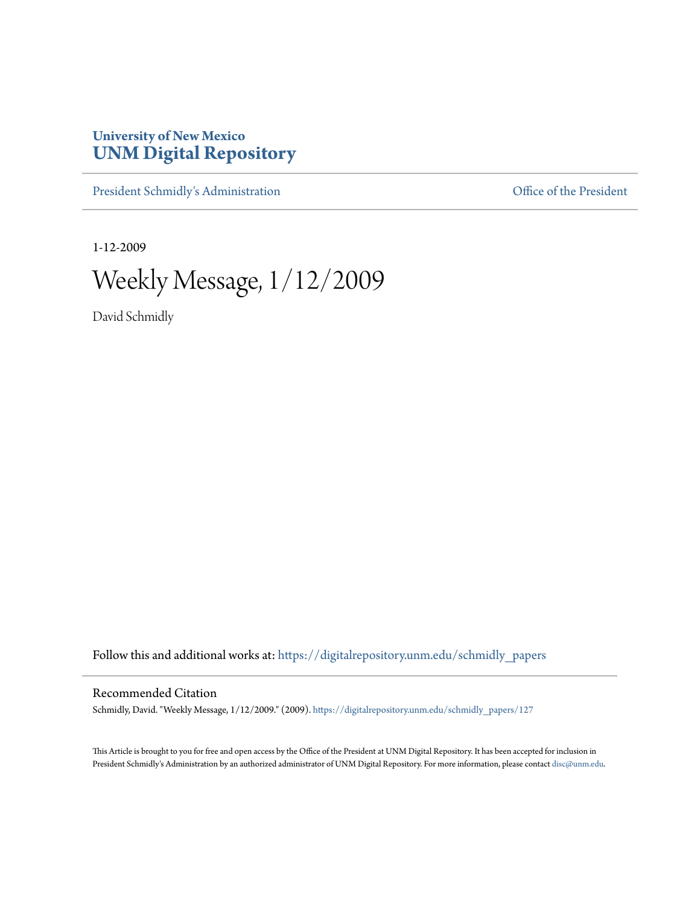## **University of New Mexico [UNM Digital Repository](https://digitalrepository.unm.edu?utm_source=digitalrepository.unm.edu%2Fschmidly_papers%2F127&utm_medium=PDF&utm_campaign=PDFCoverPages)**

[President Schmidly's Administration](https://digitalrepository.unm.edu/schmidly_papers?utm_source=digitalrepository.unm.edu%2Fschmidly_papers%2F127&utm_medium=PDF&utm_campaign=PDFCoverPages) [Office of the President](https://digitalrepository.unm.edu/ofc_president?utm_source=digitalrepository.unm.edu%2Fschmidly_papers%2F127&utm_medium=PDF&utm_campaign=PDFCoverPages)

1-12-2009

Weekly Message, 1/12/2009

David Schmidly

Follow this and additional works at: [https://digitalrepository.unm.edu/schmidly\\_papers](https://digitalrepository.unm.edu/schmidly_papers?utm_source=digitalrepository.unm.edu%2Fschmidly_papers%2F127&utm_medium=PDF&utm_campaign=PDFCoverPages)

## Recommended Citation

Schmidly, David. "Weekly Message, 1/12/2009." (2009). [https://digitalrepository.unm.edu/schmidly\\_papers/127](https://digitalrepository.unm.edu/schmidly_papers/127?utm_source=digitalrepository.unm.edu%2Fschmidly_papers%2F127&utm_medium=PDF&utm_campaign=PDFCoverPages)

This Article is brought to you for free and open access by the Office of the President at UNM Digital Repository. It has been accepted for inclusion in President Schmidly's Administration by an authorized administrator of UNM Digital Repository. For more information, please contact [disc@unm.edu](mailto:disc@unm.edu).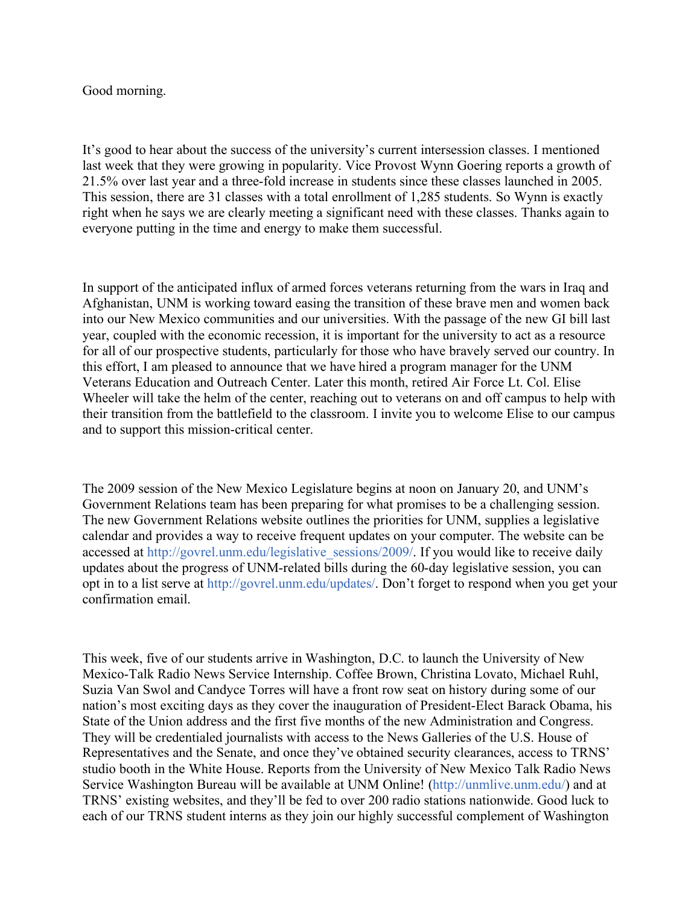## Good morning.

It's good to hear about the success of the university's current intersession classes. I mentioned last week that they were growing in popularity. Vice Provost Wynn Goering reports a growth of 21.5% over last year and a three-fold increase in students since these classes launched in 2005. This session, there are 31 classes with a total enrollment of 1,285 students. So Wynn is exactly right when he says we are clearly meeting a significant need with these classes. Thanks again to everyone putting in the time and energy to make them successful.

In support of the anticipated influx of armed forces veterans returning from the wars in Iraq and Afghanistan, UNM is working toward easing the transition of these brave men and women back into our New Mexico communities and our universities. With the passage of the new GI bill last year, coupled with the economic recession, it is important for the university to act as a resource for all of our prospective students, particularly for those who have bravely served our country. In this effort, I am pleased to announce that we have hired a program manager for the UNM Veterans Education and Outreach Center. Later this month, retired Air Force Lt. Col. Elise Wheeler will take the helm of the center, reaching out to veterans on and off campus to help with their transition from the battlefield to the classroom. I invite you to welcome Elise to our campus and to support this mission-critical center.

The 2009 session of the New Mexico Legislature begins at noon on January 20, and UNM's Government Relations team has been preparing for what promises to be a challenging session. The new Government Relations website outlines the priorities for UNM, supplies a legislative calendar and provides a way to receive frequent updates on your computer. The website can be accessed at http://govrel.unm.edu/legislative\_sessions/2009/. If you would like to receive daily updates about the progress of UNM-related bills during the 60-day legislative session, you can opt in to a list serve at http://govrel.unm.edu/updates/. Don't forget to respond when you get your confirmation email.

This week, five of our students arrive in Washington, D.C. to launch the University of New Mexico-Talk Radio News Service Internship. Coffee Brown, Christina Lovato, Michael Ruhl, Suzia Van Swol and Candyce Torres will have a front row seat on history during some of our nation's most exciting days as they cover the inauguration of President-Elect Barack Obama, his State of the Union address and the first five months of the new Administration and Congress. They will be credentialed journalists with access to the News Galleries of the U.S. House of Representatives and the Senate, and once they've obtained security clearances, access to TRNS' studio booth in the White House. Reports from the University of New Mexico Talk Radio News Service Washington Bureau will be available at UNM Online! (http://unmlive.unm.edu/) and at TRNS' existing websites, and they'll be fed to over 200 radio stations nationwide. Good luck to each of our TRNS student interns as they join our highly successful complement of Washington